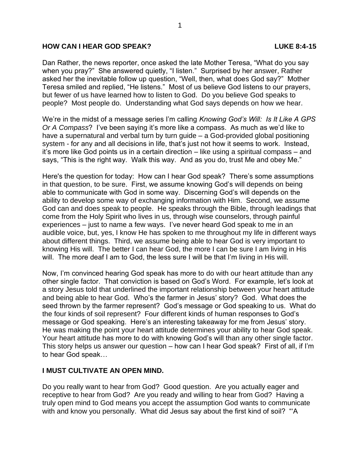### **HOW CAN I HEAR GOD SPEAK? LUKE 8:4-15**

Dan Rather, the news reporter, once asked the late Mother Teresa, "What do you say when you pray?" She answered quietly, "I listen." Surprised by her answer, Rather asked her the inevitable follow up question, "Well, then, what does God say?" Mother Teresa smiled and replied, "He listens." Most of us believe God listens to our prayers, but fewer of us have learned how to listen to God. Do you believe God speaks to people? Most people do. Understanding what God says depends on how we hear.

We're in the midst of a message series I'm calling *Knowing God's Will: Is It Like A GPS Or A Compass*? I've been saying it's more like a compass. As much as we'd like to have a supernatural and verbal turn by turn guide – a God-provided global positioning system - for any and all decisions in life, that's just not how it seems to work. Instead, it's more like God points us in a certain direction – like using a spiritual compass – and says, "This is the right way. Walk this way. And as you do, trust Me and obey Me."

Here's the question for today: How can I hear God speak? There's some assumptions in that question, to be sure. First, we assume knowing God's will depends on being able to communicate with God in some way. Discerning God's will depends on the ability to develop some way of exchanging information with Him. Second, we assume God can and does speak to people. He speaks through the Bible, through leadings that come from the Holy Spirit who lives in us, through wise counselors, through painful experiences – just to name a few ways. I've never heard God speak to me in an audible voice, but, yes, I know He has spoken to me throughout my life in different ways about different things. Third, we assume being able to hear God is very important to knowing His will. The better I can hear God, the more I can be sure I am living in His will. The more deaf I am to God, the less sure I will be that I'm living in His will.

Now, I'm convinced hearing God speak has more to do with our heart attitude than any other single factor. That conviction is based on God's Word. For example, let's look at a story Jesus told that underlined the important relationship between your heart attitude and being able to hear God. Who's the farmer in Jesus' story? God. What does the seed thrown by the farmer represent? God's message or God speaking to us. What do the four kinds of soil represent? Four different kinds of human responses to God's message or God speaking. Here's an interesting takeaway for me from Jesus' story. He was making the point your heart attitude determines your ability to hear God speak. Your heart attitude has more to do with knowing God's will than any other single factor. This story helps us answer our question – how can I hear God speak? First of all, if I'm to hear God speak…

# **I MUST CULTIVATE AN OPEN MIND.**

Do you really want to hear from God? Good question. Are you actually eager and receptive to hear from God? Are you ready and willing to hear from God? Having a truly open mind to God means you accept the assumption God wants to communicate with and know you personally. What did Jesus say about the first kind of soil? "A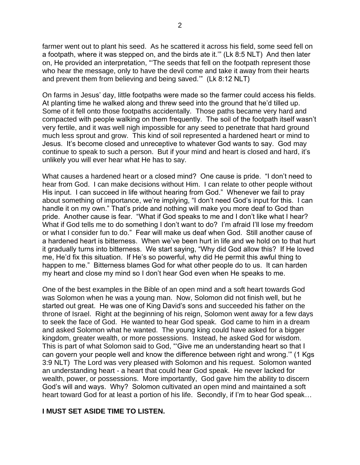farmer went out to plant his seed. As he scattered it across his field, some seed fell on a footpath, where it was stepped on, and the birds ate it.'" (Lk 8:5 NLT) And then later on, He provided an interpretation, "'The seeds that fell on the footpath represent those who hear the message, only to have the devil come and take it away from their hearts and prevent them from believing and being saved.'" (Lk 8:12 NLT)

On farms in Jesus' day, little footpaths were made so the farmer could access his fields. At planting time he walked along and threw seed into the ground that he'd tilled up. Some of it fell onto those footpaths accidentally. Those paths became very hard and compacted with people walking on them frequently. The soil of the footpath itself wasn't very fertile, and it was well nigh impossible for any seed to penetrate that hard ground much less sprout and grow. This kind of soil represented a hardened heart or mind to Jesus. It's become closed and unreceptive to whatever God wants to say. God may continue to speak to such a person. But if your mind and heart is closed and hard, it's unlikely you will ever hear what He has to say.

What causes a hardened heart or a closed mind? One cause is pride. "I don't need to hear from God. I can make decisions without Him. I can relate to other people without His input. I can succeed in life without hearing from God." Whenever we fail to pray about something of importance, we're implying, "I don't need God's input for this. I can handle it on my own." That's pride and nothing will make you more deaf to God than pride. Another cause is fear. "What if God speaks to me and I don't like what I hear? What if God tells me to do something I don't want to do? I'm afraid I'll lose my freedom or what I consider fun to do." Fear will make us deaf when God. Still another cause of a hardened heart is bitterness. When we've been hurt in life and we hold on to that hurt it gradually turns into bitterness. We start saying, "Why did God allow this? If He loved me, He'd fix this situation. If He's so powerful, why did He permit this awful thing to happen to me." Bitterness blames God for what other people do to us. It can harden my heart and close my mind so I don't hear God even when He speaks to me.

One of the best examples in the Bible of an open mind and a soft heart towards God was Solomon when he was a young man. Now, Solomon did not finish well, but he started out great. He was one of King David's sons and succeeded his father on the throne of Israel. Right at the beginning of his reign, Solomon went away for a few days to seek the face of God. He wanted to hear God speak. God came to him in a dream and asked Solomon what he wanted. The young king could have asked for a bigger kingdom, greater wealth, or more possessions. Instead, he asked God for wisdom. This is part of what Solomon said to God, "'Give me an understanding heart so that I can govern your people well and know the difference between right and wrong.'" (1 Kgs 3:9 NLT) The Lord was very pleased with Solomon and his request. Solomon wanted an understanding heart - a heart that could hear God speak. He never lacked for wealth, power, or possessions. More importantly, God gave him the ability to discern God's will and ways. Why? Solomon cultivated an open mind and maintained a soft heart toward God for at least a portion of his life. Secondly, if I'm to hear God speak…

# **I MUST SET ASIDE TIME TO LISTEN.**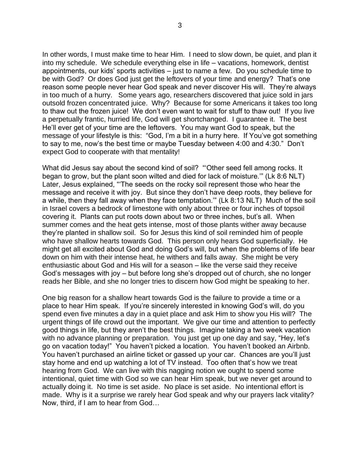In other words, I must make time to hear Him. I need to slow down, be quiet, and plan it into my schedule. We schedule everything else in life – vacations, homework, dentist appointments, our kids' sports activities – just to name a few. Do you schedule time to be with God? Or does God just get the leftovers of your time and energy? That's one reason some people never hear God speak and never discover His will. They're always in too much of a hurry. Some years ago, researchers discovered that juice sold in jars outsold frozen concentrated juice. Why? Because for some Americans it takes too long to thaw out the frozen juice! We don't even want to wait for stuff to thaw out! If you live a perpetually frantic, hurried life, God will get shortchanged. I guarantee it. The best He'll ever get of your time are the leftovers. You may want God to speak, but the message of your lifestyle is this: "God, I'm a bit in a hurry here. If You've got something to say to me, now's the best time or maybe Tuesday between 4:00 and 4:30." Don't expect God to cooperate with that mentality!

What did Jesus say about the second kind of soil? "'Other seed fell among rocks. It began to grow, but the plant soon wilted and died for lack of moisture.'" (Lk 8:6 NLT) Later, Jesus explained, "'The seeds on the rocky soil represent those who hear the message and receive it with joy. But since they don't have deep roots, they believe for a while, then they fall away when they face temptation.'" (Lk 8:13 NLT) Much of the soil in Israel covers a bedrock of limestone with only about three or four inches of topsoil covering it. Plants can put roots down about two or three inches, but's all. When summer comes and the heat gets intense, most of those plants wither away because they're planted in shallow soil. So for Jesus this kind of soil reminded him of people who have shallow hearts towards God. This person only hears God superficially. He might get all excited about God and doing God's will, but when the problems of life bear down on him with their intense heat, he withers and falls away. She might be very enthusiastic about God and His will for a season – like the verse said they receive God's messages with joy – but before long she's dropped out of church, she no longer reads her Bible, and she no longer tries to discern how God might be speaking to her.

One big reason for a shallow heart towards God is the failure to provide a time or a place to hear Him speak. If you're sincerely interested in knowing God's will, do you spend even five minutes a day in a quiet place and ask Him to show you His will? The urgent things of life crowd out the important. We give our time and attention to perfectly good things in life, but they aren't the best things. Imagine taking a two week vacation with no advance planning or preparation. You just get up one day and say, "Hey, let's go on vacation today!" You haven't picked a location. You haven't booked an Airbnb. You haven't purchased an airline ticket or gassed up your car. Chances are you'll just stay home and end up watching a lot of TV instead. Too often that's how we treat hearing from God. We can live with this nagging notion we ought to spend some intentional, quiet time with God so we can hear Him speak, but we never get around to actually doing it. No time is set aside. No place is set aside. No intentional effort is made. Why is it a surprise we rarely hear God speak and why our prayers lack vitality? Now, third, if I am to hear from God…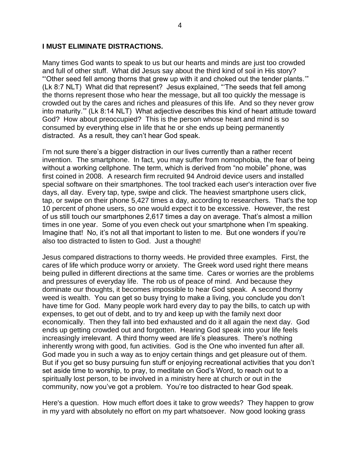### **I MUST ELIMINATE DISTRACTIONS.**

Many times God wants to speak to us but our hearts and minds are just too crowded and full of other stuff. What did Jesus say about the third kind of soil in His story? "'Other seed fell among thorns that grew up with it and choked out the tender plants.'" (Lk 8:7 NLT) What did that represent? Jesus explained, "'The seeds that fell among the thorns represent those who hear the message, but all too quickly the message is crowded out by the cares and riches and pleasures of this life. And so they never grow into maturity.'" (Lk 8:14 NLT) What adjective describes this kind of heart attitude toward God? How about preoccupied? This is the person whose heart and mind is so consumed by everything else in life that he or she ends up being permanently distracted. As a result, they can't hear God speak.

I'm not sure there's a bigger distraction in our lives currently than a rather recent invention. The smartphone. In fact, you may suffer from nomophobia, the fear of being without a working cellphone. The term, which is derived from "no mobile" phone, was first coined in 2008. A research firm recruited 94 Android device users and installed special software on their smartphones. The tool tracked each user's interaction over five days, all day. Every tap, type, swipe and click. The heaviest smartphone users click, tap, or swipe on their phone 5,427 times a day, according to researchers. That's the top 10 percent of phone users, so one would expect it to be excessive. However, the rest of us still touch our smartphones 2,617 times a day on average. That's almost a million times in one year. Some of you even check out your smartphone when I'm speaking. Imagine that! No, it's not all that important to listen to me. But one wonders if you're also too distracted to listen to God. Just a thought!

Jesus compared distractions to thorny weeds. He provided three examples. First, the cares of life which produce worry or anxiety. The Greek word used right there means being pulled in different directions at the same time. Cares or worries are the problems and pressures of everyday life. The rob us of peace of mind. And because they dominate our thoughts, it becomes impossible to hear God speak. A second thorny weed is wealth. You can get so busy trying to make a living, you conclude you don't have time for God. Many people work hard every day to pay the bills, to catch up with expenses, to get out of debt, and to try and keep up with the family next door economically. Then they fall into bed exhausted and do it all again the next day. God ends up getting crowded out and forgotten. Hearing God speak into your life feels increasingly irrelevant. A third thorny weed are life's pleasures. There's nothing inherently wrong with good, fun activities. God is the One who invented fun after all. God made you in such a way as to enjoy certain things and get pleasure out of them. But if you get so busy pursuing fun stuff or enjoying recreational activities that you don't set aside time to worship, to pray, to meditate on God's Word, to reach out to a spiritually lost person, to be involved in a ministry here at church or out in the community, now you've got a problem. You're too distracted to hear God speak.

Here's a question. How much effort does it take to grow weeds? They happen to grow in my yard with absolutely no effort on my part whatsoever. Now good looking grass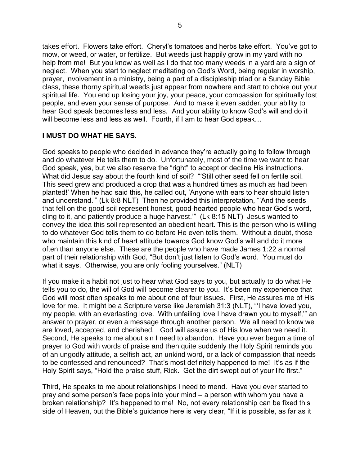takes effort. Flowers take effort. Cheryl's tomatoes and herbs take effort. You've got to mow, or weed, or water, or fertilize. But weeds just happily grow in my yard with no help from me! But you know as well as I do that too many weeds in a yard are a sign of neglect. When you start to neglect meditating on God's Word, being regular in worship, prayer, involvement in a ministry, being a part of a discipleship triad or a Sunday Bible class, these thorny spiritual weeds just appear from nowhere and start to choke out your spiritual life. You end up losing your joy, your peace, your compassion for spiritually lost people, and even your sense of purpose. And to make it even sadder, your ability to hear God speak becomes less and less. And your ability to know God's will and do it will become less and less as well. Fourth, if I am to hear God speak…

# **I MUST DO WHAT HE SAYS.**

God speaks to people who decided in advance they're actually going to follow through and do whatever He tells them to do. Unfortunately, most of the time we want to hear God speak, yes, but we also reserve the "right" to accept or decline His instructions. What did Jesus say about the fourth kind of soil? "'Still other seed fell on fertile soil. This seed grew and produced a crop that was a hundred times as much as had been planted!' When he had said this, he called out, 'Anyone with ears to hear should listen and understand.'" (Lk 8:8 NLT) Then he provided this interpretation, "'And the seeds that fell on the good soil represent honest, good-hearted people who hear God's word, cling to it, and patiently produce a huge harvest.'" (Lk 8:15 NLT) Jesus wanted to convey the idea this soil represented an obedient heart. This is the person who is willing to do whatever God tells them to do before He even tells them. Without a doubt, those who maintain this kind of heart attitude towards God know God's will and do it more often than anyone else. These are the people who have made James 1:22 a normal part of their relationship with God, "But don't just listen to God's word. You must do what it says. Otherwise, you are only fooling yourselves." (NLT)

If you make it a habit not just to hear what God says to you, but actually to do what He tells you to do, the will of God will become clearer to you. It's been my experience that God will most often speaks to me about one of four issues. First, He assures me of His love for me. It might be a Scripture verse like Jeremiah 31:3 (NLT), "'I have loved you, my people, with an everlasting love. With unfailing love I have drawn you to myself,'" an answer to prayer, or even a message through another person. We all need to know we are loved, accepted, and cherished. God will assure us of His love when we need it. Second, He speaks to me about sin I need to abandon. Have you ever begun a time of prayer to God with words of praise and then quite suddenly the Holy Spirit reminds you of an ungodly attitude, a selfish act, an unkind word, or a lack of compassion that needs to be confessed and renounced? That's most definitely happened to me! It's as if the Holy Spirit says, "Hold the praise stuff, Rick. Get the dirt swept out of your life first."

Third, He speaks to me about relationships I need to mend. Have you ever started to pray and some person's face pops into your mind – a person with whom you have a broken relationship? It's happened to me! No, not every relationship can be fixed this side of Heaven, but the Bible's guidance here is very clear, "If it is possible, as far as it